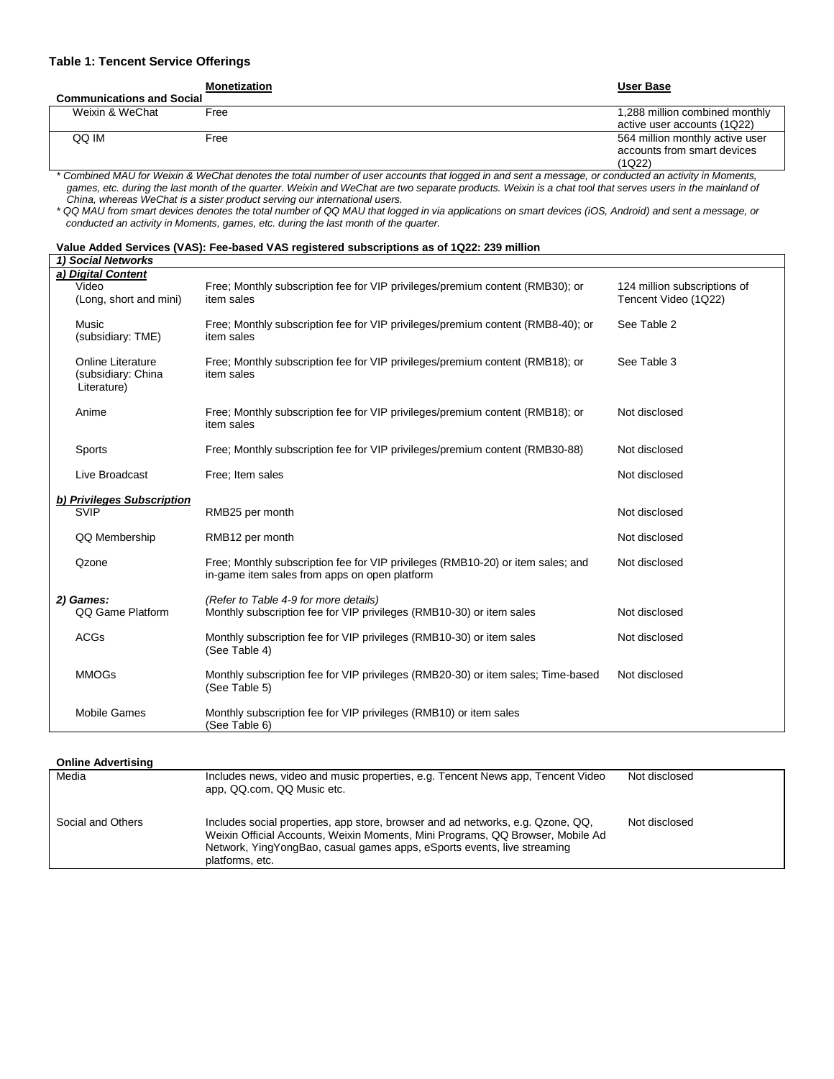#### **Table 1: Tencent Service Offerings**

**Monetization User Base**

٦

| <b>Communications and Social</b> |      |                                 |  |  |  |
|----------------------------------|------|---------------------------------|--|--|--|
| Weixin & WeChat                  | Free | 1,288 million combined monthly  |  |  |  |
|                                  |      | active user accounts (1Q22)     |  |  |  |
| QQ IM                            | Free | 564 million monthly active user |  |  |  |
|                                  |      | accounts from smart devices     |  |  |  |
|                                  |      | (1Q22)                          |  |  |  |

*\* Combined MAU for Weixin & WeChat denotes the total number of user accounts that logged in and sent a message, or conducted an activity in Moments, games, etc. during the last month of the quarter. Weixin and WeChat are two separate products. Weixin is a chat tool that serves users in the mainland of China, whereas WeChat is a sister product serving our international users.*

*\* QQ MAU from smart devices denotes the total number of QQ MAU that logged in via applications on smart devices (iOS, Android) and sent a message, or conducted an activity in Moments, games, etc. during the last month of the quarter.*

| Value Added Services (VAS): Fee-based VAS registered subscriptions as of 1Q22: 239 million |
|--------------------------------------------------------------------------------------------|
|--------------------------------------------------------------------------------------------|

| 1) Social Networks                                            |                                                                                                                                  |                                                      |
|---------------------------------------------------------------|----------------------------------------------------------------------------------------------------------------------------------|------------------------------------------------------|
| a) Digital Content<br>Video<br>(Long, short and mini)         | Free; Monthly subscription fee for VIP privileges/premium content (RMB30); or<br>item sales                                      | 124 million subscriptions of<br>Tencent Video (1Q22) |
| Music<br>(subsidiary: TME)                                    | Free; Monthly subscription fee for VIP privileges/premium content (RMB8-40); or<br>item sales                                    | See Table 2                                          |
| <b>Online Literature</b><br>(subsidiary: China<br>Literature) | Free; Monthly subscription fee for VIP privileges/premium content (RMB18); or<br>item sales                                      | See Table 3                                          |
| Anime                                                         | Free: Monthly subscription fee for VIP privileges/premium content (RMB18); or<br>item sales                                      | Not disclosed                                        |
| Sports                                                        | Free; Monthly subscription fee for VIP privileges/premium content (RMB30-88)                                                     | Not disclosed                                        |
| Live Broadcast                                                | Free: Item sales                                                                                                                 | Not disclosed                                        |
| b) Privileges Subscription                                    |                                                                                                                                  |                                                      |
| <b>SVIP</b>                                                   | RMB25 per month                                                                                                                  | Not disclosed                                        |
| QQ Membership                                                 | RMB12 per month                                                                                                                  | Not disclosed                                        |
| Qzone                                                         | Free: Monthly subscription fee for VIP privileges (RMB10-20) or item sales; and<br>in-game item sales from apps on open platform | Not disclosed                                        |
| 2) Games:                                                     | (Refer to Table 4-9 for more details)                                                                                            |                                                      |
| QQ Game Platform                                              | Monthly subscription fee for VIP privileges (RMB10-30) or item sales                                                             | Not disclosed                                        |
| <b>ACGs</b>                                                   | Monthly subscription fee for VIP privileges (RMB10-30) or item sales<br>(See Table 4)                                            | Not disclosed                                        |
| <b>MMOGs</b>                                                  | Monthly subscription fee for VIP privileges (RMB20-30) or item sales; Time-based<br>(See Table 5)                                | Not disclosed                                        |
| <b>Mobile Games</b>                                           | Monthly subscription fee for VIP privileges (RMB10) or item sales<br>(See Table 6)                                               |                                                      |

#### **Online Advertising**

| Media             | Includes news, video and music properties, e.g. Tencent News app, Tencent Video<br>app, QQ.com, QQ Music etc.                                                                                                                                                   | Not disclosed |
|-------------------|-----------------------------------------------------------------------------------------------------------------------------------------------------------------------------------------------------------------------------------------------------------------|---------------|
| Social and Others | Includes social properties, app store, browser and ad networks, e.g. Qzone, QQ,<br>Weixin Official Accounts, Weixin Moments, Mini Programs, QQ Browser, Mobile Ad<br>Network, YingYongBao, casual games apps, eSports events, live streaming<br>platforms, etc. | Not disclosed |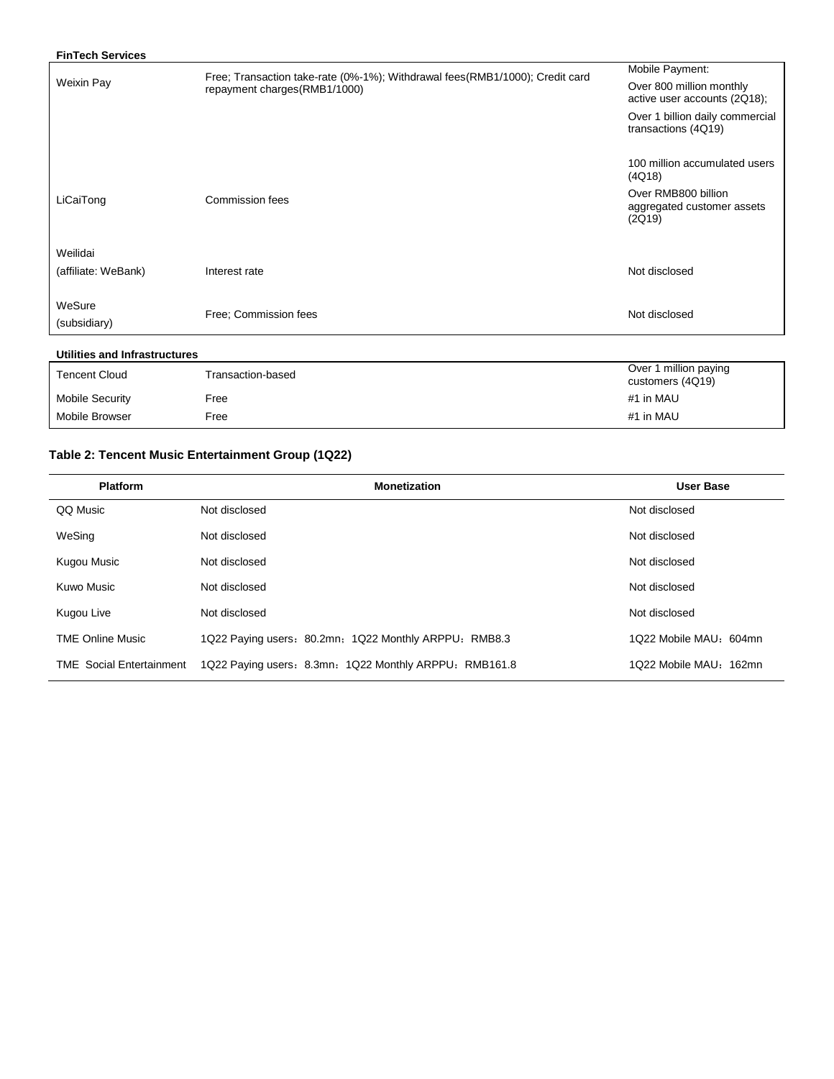| Free; Transaction take-rate (0%-1%); Withdrawal fees(RMB1/1000); Credit card<br>repayment charges(RMB1/1000) | Mobile Payment:<br>Over 800 million monthly<br>active user accounts (2Q18); |
|--------------------------------------------------------------------------------------------------------------|-----------------------------------------------------------------------------|
|                                                                                                              |                                                                             |
|                                                                                                              |                                                                             |
|                                                                                                              | Over 1 billion daily commercial<br>transactions (4Q19)                      |
|                                                                                                              | 100 million accumulated users<br>(4Q18)                                     |
| Commission fees                                                                                              | Over RMB800 billion<br>aggregated customer assets<br>(2Q19)                 |
|                                                                                                              |                                                                             |
| Interest rate                                                                                                | Not disclosed                                                               |
| Free: Commission fees                                                                                        | Not disclosed                                                               |
|                                                                                                              |                                                                             |

### **Utilities and Infrastructures**

| <b>Tencent Cloud</b>   | Transaction-based | Over 1 million paying<br>customers (4Q19) |
|------------------------|-------------------|-------------------------------------------|
| <b>Mobile Security</b> | Free              | #1 in MAU                                 |
| Mobile Browser         | Free              | #1 in MAU                                 |

# **Table 2: Tencent Music Entertainment Group (1Q22)**

| <b>Platform</b>                 | <b>Monetization</b>                                    | User Base              |
|---------------------------------|--------------------------------------------------------|------------------------|
| QQ Music                        | Not disclosed                                          | Not disclosed          |
| WeSing                          | Not disclosed                                          | Not disclosed          |
| Kugou Music                     | Not disclosed                                          | Not disclosed          |
| Kuwo Music                      | Not disclosed                                          | Not disclosed          |
| Kugou Live                      | Not disclosed                                          | Not disclosed          |
| <b>TME Online Music</b>         | 1Q22 Paying users: 80.2mn; 1Q22 Monthly ARPPU: RMB8.3  | 1Q22 Mobile MAU: 604mn |
| <b>TME</b> Social Entertainment | 1Q22 Paying users: 8.3mn: 1Q22 Monthly ARPPU: RMB161.8 | 1Q22 Mobile MAU: 162mn |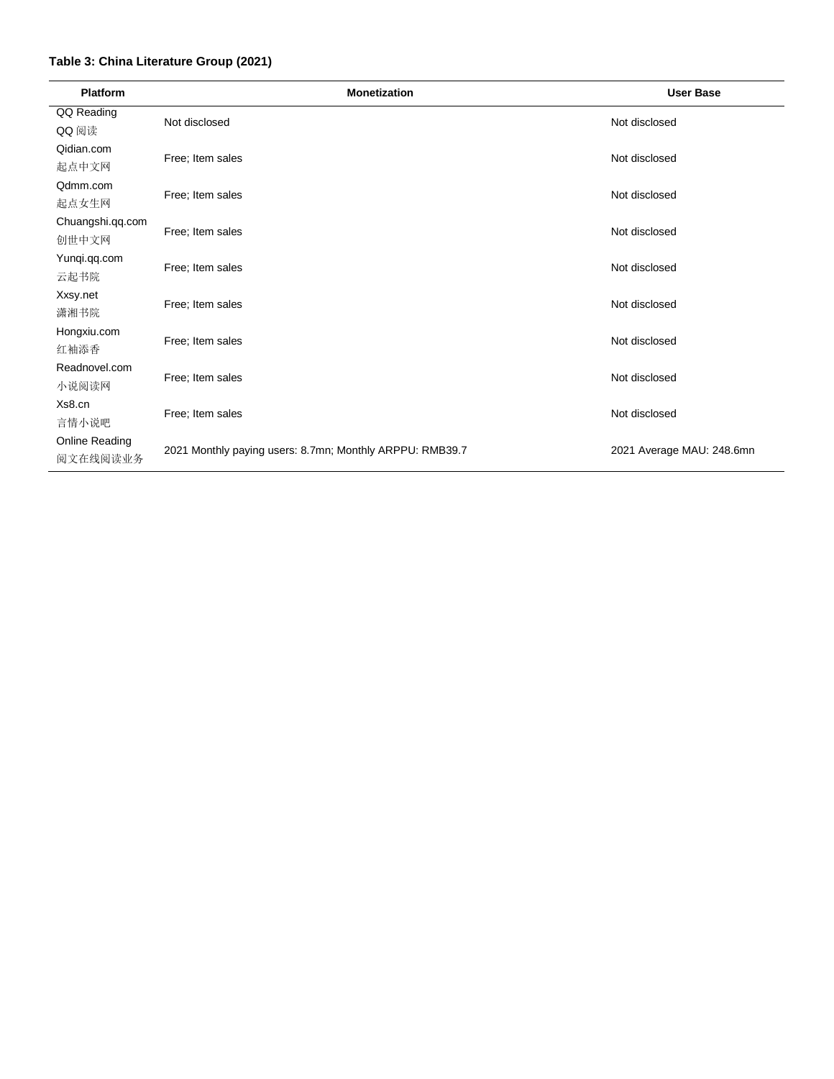## **Table 3: China Literature Group (2021)**

| <b>Platform</b>  | <b>Monetization</b>                                      | <b>User Base</b>          |  |  |  |
|------------------|----------------------------------------------------------|---------------------------|--|--|--|
| QQ Reading       | Not disclosed                                            | Not disclosed             |  |  |  |
| QQ 阅读            |                                                          |                           |  |  |  |
| Qidian.com       | Free; Item sales                                         | Not disclosed             |  |  |  |
| 起点中文网            |                                                          |                           |  |  |  |
| Qdmm.com         |                                                          |                           |  |  |  |
| 起点女生网            | Free; Item sales                                         | Not disclosed             |  |  |  |
| Chuangshi.qq.com |                                                          |                           |  |  |  |
| 创世中文网            | Free; Item sales                                         | Not disclosed             |  |  |  |
| Yunqi.qq.com     |                                                          |                           |  |  |  |
| 云起书院             | Free; Item sales                                         | Not disclosed             |  |  |  |
| Xxsy.net         |                                                          |                           |  |  |  |
| 潇湘书院             | Free; Item sales                                         | Not disclosed             |  |  |  |
| Hongxiu.com      | Free; Item sales                                         | Not disclosed             |  |  |  |
| 红袖添香             |                                                          |                           |  |  |  |
| Readnovel.com    | Free; Item sales                                         | Not disclosed             |  |  |  |
| 小说阅读网            |                                                          |                           |  |  |  |
| Xs8.cn           |                                                          |                           |  |  |  |
| 言情小说吧            | Free; Item sales                                         | Not disclosed             |  |  |  |
| Online Reading   |                                                          |                           |  |  |  |
| 阅文在线阅读业务         | 2021 Monthly paying users: 8.7mn; Monthly ARPPU: RMB39.7 | 2021 Average MAU: 248.6mn |  |  |  |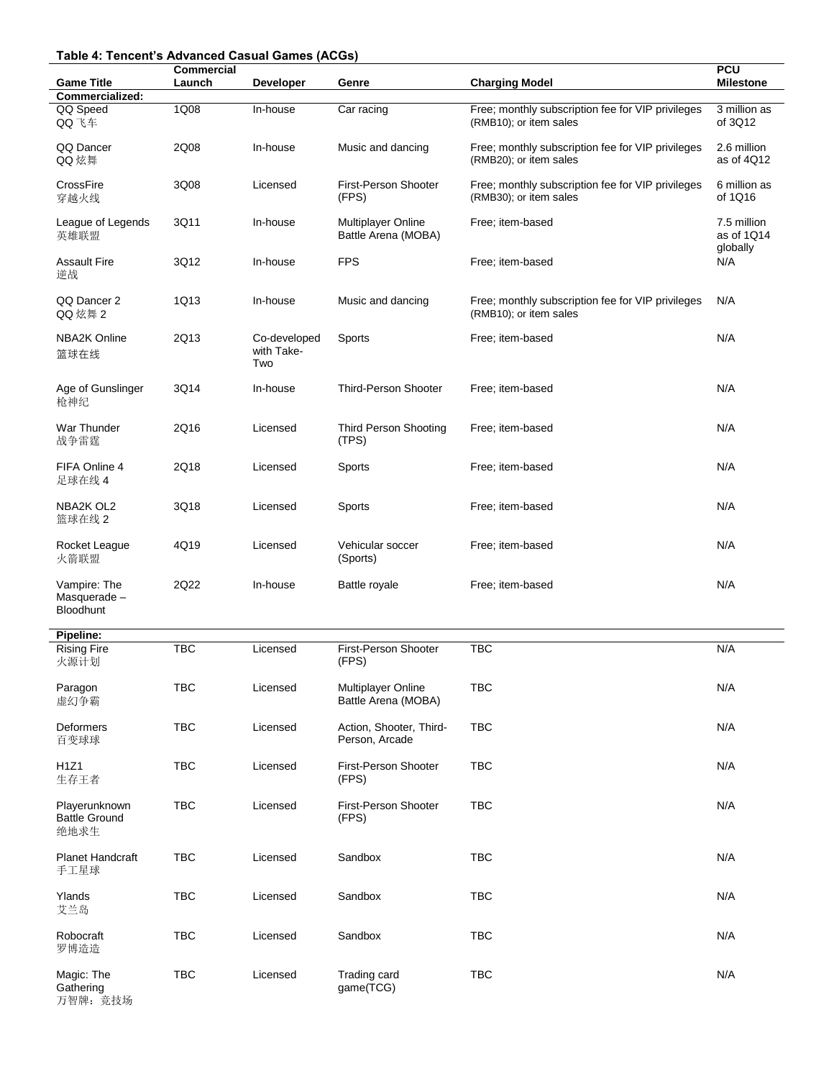# **Table 4: Tencent's Advanced Casual Games (ACGs)**

| apio 4: Tonoont o Advanced Gaodar Gannoo (AGGo   | Commercial |                                   |                                                  |                                                                             | <b>PCU</b>                            |
|--------------------------------------------------|------------|-----------------------------------|--------------------------------------------------|-----------------------------------------------------------------------------|---------------------------------------|
| <b>Game Title</b><br>Commercialized:             | Launch     | <b>Developer</b>                  | Genre                                            | <b>Charging Model</b>                                                       | <b>Milestone</b>                      |
| QQ Speed<br>QQ飞车                                 | 1Q08       | In-house                          | Car racing                                       | Free; monthly subscription fee for VIP privileges<br>(RMB10); or item sales | 3 million as<br>of 3Q12               |
| QQ Dancer<br>QQ 炫舞                               | 2Q08       | In-house                          | Music and dancing                                | Free; monthly subscription fee for VIP privileges<br>(RMB20); or item sales | 2.6 million<br>as of 4Q12             |
| CrossFire<br>穿越火线                                | 3Q08       | Licensed                          | First-Person Shooter<br>(FPS)                    | Free; monthly subscription fee for VIP privileges<br>(RMB30); or item sales | 6 million as<br>of 1Q16               |
| League of Legends<br>英雄联盟                        | 3Q11       | In-house                          | <b>Multiplayer Online</b><br>Battle Arena (MOBA) | Free; item-based                                                            | 7.5 million<br>as of 1Q14<br>globally |
| <b>Assault Fire</b><br>逆战                        | 3Q12       | In-house                          | <b>FPS</b>                                       | Free; item-based                                                            | N/A                                   |
| QQ Dancer 2<br>QQ 炫舞 2                           | 1Q13       | In-house                          | Music and dancing                                | Free; monthly subscription fee for VIP privileges<br>(RMB10); or item sales | N/A                                   |
| <b>NBA2K Online</b><br>篮球在线                      | 2Q13       | Co-developed<br>with Take-<br>Two | Sports                                           | Free; item-based                                                            | N/A                                   |
| Age of Gunslinger<br>枪神纪                         | 3Q14       | In-house                          | <b>Third-Person Shooter</b>                      | Free; item-based                                                            | N/A                                   |
| War Thunder<br>战争雷霆                              | 2Q16       | Licensed                          | <b>Third Person Shooting</b><br>(TPS)            | Free; item-based                                                            | N/A                                   |
| FIFA Online 4<br>足球在线 4                          | 2Q18       | Licensed                          | Sports                                           | Free; item-based                                                            | N/A                                   |
| NBA2K OL2<br>篮球在线 2                              | 3Q18       | Licensed                          | Sports                                           | Free; item-based                                                            | N/A                                   |
| Rocket League<br>火箭联盟                            | 4Q19       | Licensed                          | Vehicular soccer<br>(Sports)                     | Free; item-based                                                            | N/A                                   |
| Vampire: The<br>Masquerade -<br><b>Bloodhunt</b> | 2Q22       | In-house                          | Battle royale                                    | Free; item-based                                                            | N/A                                   |
| Pipeline:                                        |            |                                   |                                                  |                                                                             |                                       |
| <b>Rising Fire</b><br>火源计划                       | TBC        | Licensed                          | First-Person Shooter<br>(FPS)                    | <b>TBC</b>                                                                  | N/A                                   |
| Paragon<br>虚幻争霸                                  | TBC        | Licensed                          | <b>Multiplayer Online</b><br>Battle Arena (MOBA) | <b>TBC</b>                                                                  | N/A                                   |
| Deformers<br>百变球球                                | <b>TBC</b> | Licensed                          | Action, Shooter, Third-<br>Person, Arcade        | TBC                                                                         | N/A                                   |
| H1Z1<br>生存王者                                     | <b>TBC</b> | Licensed                          | First-Person Shooter<br>(FPS)                    | TBC                                                                         | N/A                                   |
| Playerunknown<br><b>Battle Ground</b><br>绝地求生    | TBC        | Licensed                          | First-Person Shooter<br>(FPS)                    | TBC                                                                         | N/A                                   |
| <b>Planet Handcraft</b><br>手工星球                  | TBC        | Licensed                          | Sandbox                                          | <b>TBC</b>                                                                  | N/A                                   |
| Ylands<br>艾兰岛                                    | <b>TBC</b> | Licensed                          | Sandbox                                          | TBC                                                                         | N/A                                   |
| Robocraft<br>罗博造造                                | TBC        | Licensed                          | Sandbox                                          | TBC                                                                         | N/A                                   |
| Magic: The<br>Gathering<br>万智牌: 竞技场              | TBC        | Licensed                          | Trading card<br>game(TCG)                        | TBC                                                                         | N/A                                   |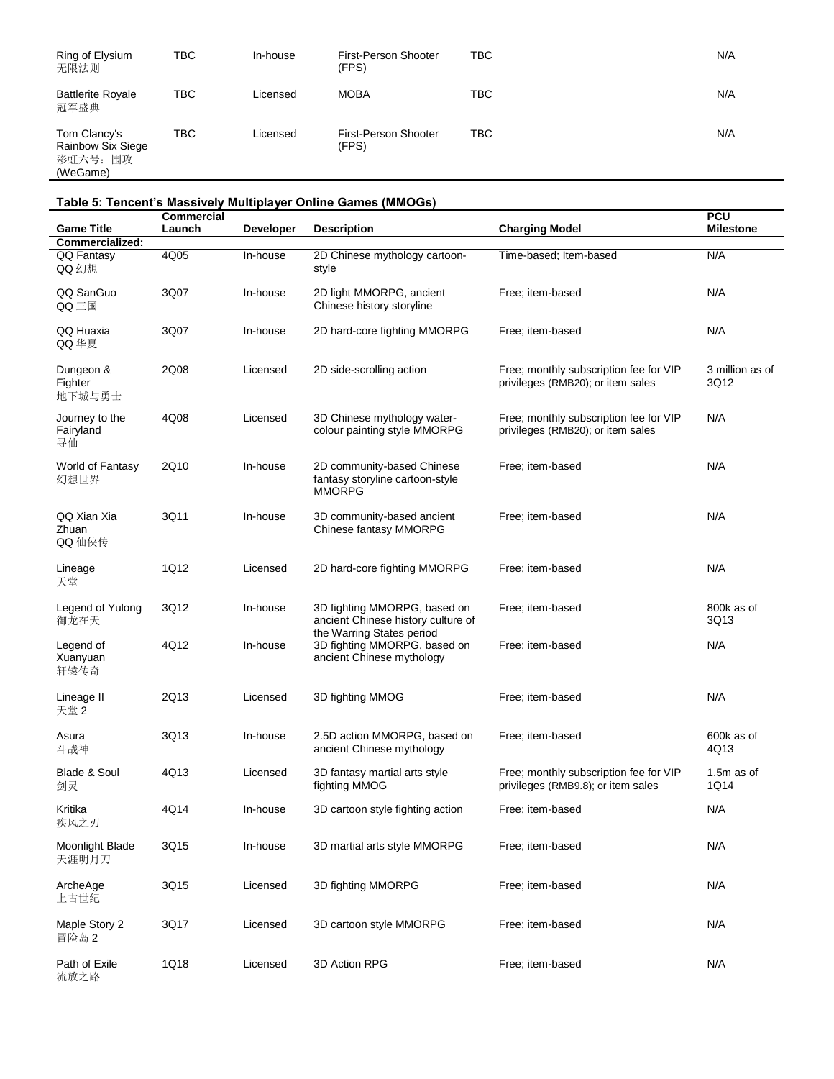| Ring of Elysium<br>无限法则                                   | твс        | In-house | First-Person Shooter<br>(FPS) | <b>TBC</b> | N/A |
|-----------------------------------------------------------|------------|----------|-------------------------------|------------|-----|
| <b>Battlerite Royale</b><br>冠军盛典                          | твс        | Licensed | <b>MOBA</b>                   | <b>TBC</b> | N/A |
| Tom Clancy's<br>Rainbow Six Siege<br>彩虹六号: 围攻<br>(WeGame) | <b>TBC</b> | Licensed | First-Person Shooter<br>(FPS) | TBC        | N/A |

**Table 5: Tencent's Massively Multiplayer Online Games (MMOGs)**

| <b>Game Title</b>                 | <b>Commercial</b><br>Launch | <b>Developer</b> | <b>Description</b>                                                                              | <b>Charging Model</b>                                                        | <b>PCU</b><br><b>Milestone</b> |
|-----------------------------------|-----------------------------|------------------|-------------------------------------------------------------------------------------------------|------------------------------------------------------------------------------|--------------------------------|
| Commercialized:                   |                             |                  |                                                                                                 |                                                                              |                                |
| QQ Fantasy<br>QQ幻想                | 4Q05                        | In-house         | 2D Chinese mythology cartoon-<br>style                                                          | Time-based; Item-based                                                       | N/A                            |
| QQ SanGuo<br>QQ三国                 | 3Q07                        | In-house         | 2D light MMORPG, ancient<br>Chinese history storyline                                           | Free; item-based                                                             | N/A                            |
| QQ Huaxia<br>QQ 华夏                | 3Q07                        | In-house         | 2D hard-core fighting MMORPG                                                                    | Free; item-based                                                             | N/A                            |
| Dungeon &<br>Fighter<br>地下城与勇士    | 2Q08                        | Licensed         | 2D side-scrolling action                                                                        | Free; monthly subscription fee for VIP<br>privileges (RMB20); or item sales  | 3 million as of<br>3Q12        |
| Journey to the<br>Fairyland<br>寻仙 | 4Q08                        | Licensed         | 3D Chinese mythology water-<br>colour painting style MMORPG                                     | Free; monthly subscription fee for VIP<br>privileges (RMB20); or item sales  | N/A                            |
| World of Fantasy<br>幻想世界          | 2Q10                        | In-house         | 2D community-based Chinese<br>fantasy storyline cartoon-style<br><b>MMORPG</b>                  | Free; item-based                                                             | N/A                            |
| QQ Xian Xia<br>Zhuan<br>QQ 仙侠传    | 3Q11                        | In-house         | 3D community-based ancient<br>Chinese fantasy MMORPG                                            | Free; item-based                                                             | N/A                            |
| Lineage<br>天堂                     | 1Q12                        | Licensed         | 2D hard-core fighting MMORPG                                                                    | Free; item-based                                                             | N/A                            |
| Legend of Yulong<br>御龙在天          | 3Q12                        | In-house         | 3D fighting MMORPG, based on<br>ancient Chinese history culture of<br>the Warring States period | Free; item-based                                                             | 800k as of<br>3Q13             |
| Legend of<br>Xuanyuan<br>轩辕传奇     | 4Q12                        | In-house         | 3D fighting MMORPG, based on<br>ancient Chinese mythology                                       | Free; item-based                                                             | N/A                            |
| Lineage II<br>天堂 2                | 2Q13                        | Licensed         | 3D fighting MMOG                                                                                | Free; item-based                                                             | N/A                            |
| Asura<br>斗战神                      | 3Q13                        | In-house         | 2.5D action MMORPG, based on<br>ancient Chinese mythology                                       | Free; item-based                                                             | 600k as of<br>4Q13             |
| Blade & Soul<br>剑灵                | 4Q13                        | Licensed         | 3D fantasy martial arts style<br>fighting MMOG                                                  | Free; monthly subscription fee for VIP<br>privileges (RMB9.8); or item sales | 1.5 $m$ as of<br>1Q14          |
| Kritika<br>疾风之刃                   | 4Q14                        | In-house         | 3D cartoon style fighting action                                                                | Free; item-based                                                             | N/A                            |
| Moonlight Blade<br>天涯明月刀          | 3Q15                        | In-house         | 3D martial arts style MMORPG                                                                    | Free; item-based                                                             | N/A                            |
| ArcheAge<br>上古世纪                  | 3Q15                        | Licensed         | 3D fighting MMORPG                                                                              | Free; item-based                                                             | N/A                            |
| Maple Story 2<br>冒险岛 2            | 3Q17                        | Licensed         | 3D cartoon style MMORPG                                                                         | Free; item-based                                                             | N/A                            |
| Path of Exile<br>流放之路             | 1Q18                        | Licensed         | 3D Action RPG                                                                                   | Free; item-based                                                             | N/A                            |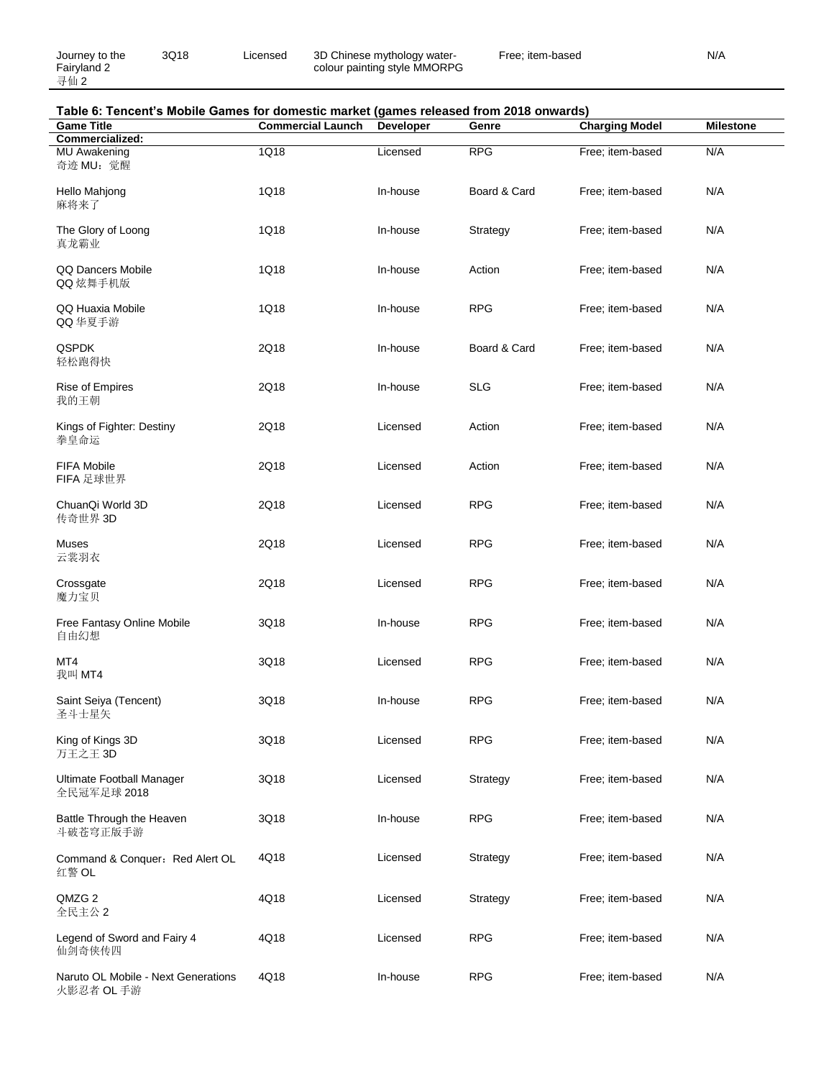Journey to the Fairyland 2 寻仙 2

3Q18 Licensed 3D Chinese mythology watercolour painting style MMORPG Free; item-based N/A

# **Table 6: Tencent's Mobile Games for domestic market (games released from 2018 onwards)**

| <b>Game Title</b>                                 | <b>Commercial Launch</b> | <b>Developer</b> | Genre        | <b>Charging Model</b> | <b>Milestone</b> |
|---------------------------------------------------|--------------------------|------------------|--------------|-----------------------|------------------|
| Commercialized:                                   |                          |                  |              |                       |                  |
| MU Awakening<br>奇迹 MU: 觉醒                         | 1Q18                     | Licensed         | <b>RPG</b>   | Free; item-based      | N/A              |
| Hello Mahjong<br>麻将来了                             | 1Q18                     | In-house         | Board & Card | Free; item-based      | N/A              |
| The Glory of Loong<br>真龙霸业                        | 1Q18                     | In-house         | Strategy     | Free; item-based      | N/A              |
| QQ Dancers Mobile<br>QQ 炫舞手机版                     | 1Q18                     | In-house         | Action       | Free; item-based      | N/A              |
| QQ Huaxia Mobile<br>QQ 华夏手游                       | 1Q18                     | In-house         | <b>RPG</b>   | Free; item-based      | N/A              |
| <b>QSPDK</b><br>轻松跑得快                             | 2Q18                     | In-house         | Board & Card | Free; item-based      | N/A              |
| <b>Rise of Empires</b><br>我的王朝                    | 2Q18                     | In-house         | <b>SLG</b>   | Free; item-based      | N/A              |
| Kings of Fighter: Destiny<br>拳皇命运                 | 2Q18                     | Licensed         | Action       | Free; item-based      | N/A              |
| <b>FIFA Mobile</b><br>FIFA 足球世界                   | 2Q18                     | Licensed         | Action       | Free; item-based      | N/A              |
| ChuanQi World 3D<br>传奇世界 3D                       | 2Q18                     | Licensed         | <b>RPG</b>   | Free; item-based      | N/A              |
| Muses<br>云裳羽衣                                     | 2Q18                     | Licensed         | <b>RPG</b>   | Free; item-based      | N/A              |
| Crossgate<br>魔力宝贝                                 | 2Q18                     | Licensed         | <b>RPG</b>   | Free; item-based      | N/A              |
| Free Fantasy Online Mobile<br>自由幻想                | 3Q18                     | In-house         | <b>RPG</b>   | Free; item-based      | N/A              |
| MT4<br>我叫 MT4                                     | 3Q18                     | Licensed         | <b>RPG</b>   | Free; item-based      | N/A              |
| Saint Seiya (Tencent)<br>圣斗士星矢                    | 3Q18                     | In-house         | <b>RPG</b>   | Free; item-based      | N/A              |
| King of Kings 3D<br>万王之王 3D                       | 3Q18                     | Licensed         | <b>RPG</b>   | Free; item-based      | N/A              |
| Ultimate Football Manager<br>全民冠军足球 2018          | 3Q18                     | Licensed         | Strategy     | Free; item-based      | N/A              |
| Battle Through the Heaven<br>斗破苍穹正版手游             | 3Q18                     | In-house         | <b>RPG</b>   | Free; item-based      | N/A              |
| Command & Conquer: Red Alert OL<br>红警 OL          | 4Q18                     | Licensed         | Strategy     | Free; item-based      | N/A              |
| QMZG 2<br>全民主公 2                                  | 4Q18                     | Licensed         | Strategy     | Free; item-based      | N/A              |
| Legend of Sword and Fairy 4<br>仙剑奇侠传四             | 4Q18                     | Licensed         | <b>RPG</b>   | Free; item-based      | N/A              |
| Naruto OL Mobile - Next Generations<br>火影忍者 OL 手游 | 4Q18                     | In-house         | <b>RPG</b>   | Free; item-based      | N/A              |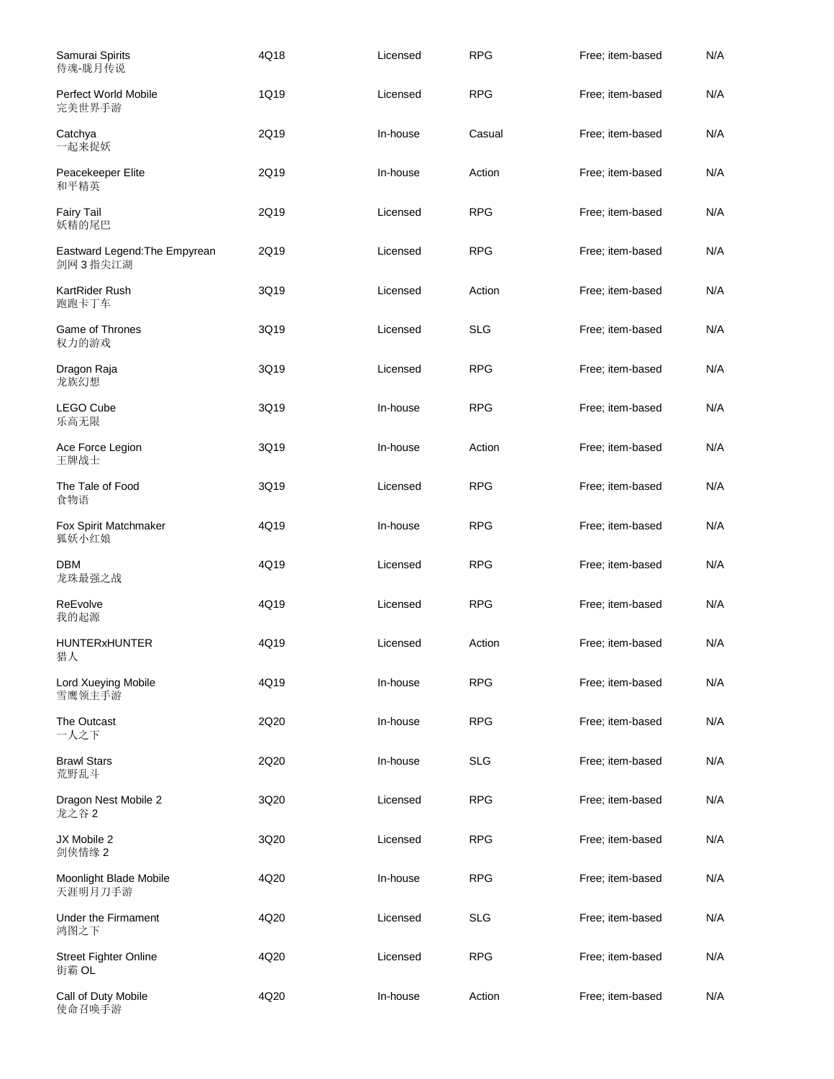| Samurai Spirits<br>侍魂-胧月传说               | 4Q18 | Licensed | <b>RPG</b> | Free; item-based | N/A |
|------------------------------------------|------|----------|------------|------------------|-----|
| Perfect World Mobile<br>完美世界手游           | 1Q19 | Licensed | <b>RPG</b> | Free; item-based | N/A |
| Catchya<br>一起来捉妖                         | 2Q19 | In-house | Casual     | Free; item-based | N/A |
| Peacekeeper Elite<br>和平精英                | 2Q19 | In-house | Action     | Free; item-based | N/A |
| <b>Fairy Tail</b><br>妖精的尾巴               | 2Q19 | Licensed | <b>RPG</b> | Free; item-based | N/A |
| Eastward Legend: The Empyrean<br>剑网3指尖江湖 | 2Q19 | Licensed | <b>RPG</b> | Free; item-based | N/A |
| KartRider Rush<br>跑跑卡丁车                  | 3Q19 | Licensed | Action     | Free; item-based | N/A |
| Game of Thrones<br>权力的游戏                 | 3Q19 | Licensed | <b>SLG</b> | Free; item-based | N/A |
| Dragon Raja<br>龙族幻想                      | 3Q19 | Licensed | <b>RPG</b> | Free: item-based | N/A |
| LEGO Cube<br>乐高无限                        | 3Q19 | In-house | <b>RPG</b> | Free; item-based | N/A |
| Ace Force Legion<br>王牌战士                 | 3Q19 | In-house | Action     | Free; item-based | N/A |
| The Tale of Food<br>食物语                  | 3Q19 | Licensed | <b>RPG</b> | Free; item-based | N/A |
| Fox Spirit Matchmaker<br>狐妖小红娘           | 4Q19 | In-house | <b>RPG</b> | Free; item-based | N/A |
| <b>DBM</b><br>龙珠最强之战                     | 4Q19 | Licensed | <b>RPG</b> | Free; item-based | N/A |
| ReEvolve<br>我的起源                         | 4Q19 | Licensed | <b>RPG</b> | Free; item-based | N/A |
| <b>HUNTERxHUNTER</b><br>猎人               | 4Q19 | Licensed | Action     | Free; item-based | N/A |
| Lord Xueying Mobile<br>雪鹰领主手游            | 4Q19 | In-house | <b>RPG</b> | Free; item-based | N/A |
| The Outcast<br>一人之下                      | 2Q20 | In-house | <b>RPG</b> | Free; item-based | N/A |
| <b>Brawl Stars</b><br>荒野乱斗               | 2Q20 | In-house | <b>SLG</b> | Free; item-based | N/A |
| Dragon Nest Mobile 2<br>龙之谷 2            | 3Q20 | Licensed | <b>RPG</b> | Free; item-based | N/A |
| JX Mobile 2<br>剑侠情缘 2                    | 3Q20 | Licensed | <b>RPG</b> | Free; item-based | N/A |
| Moonlight Blade Mobile<br>天涯明月刀手游        | 4Q20 | In-house | <b>RPG</b> | Free; item-based | N/A |
| Under the Firmament<br>鸿图之下              | 4Q20 | Licensed | <b>SLG</b> | Free; item-based | N/A |
| <b>Street Fighter Online</b><br>街霸 OL    | 4Q20 | Licensed | <b>RPG</b> | Free; item-based | N/A |
| Call of Duty Mobile<br>使命召唤手游            | 4Q20 | In-house | Action     | Free; item-based | N/A |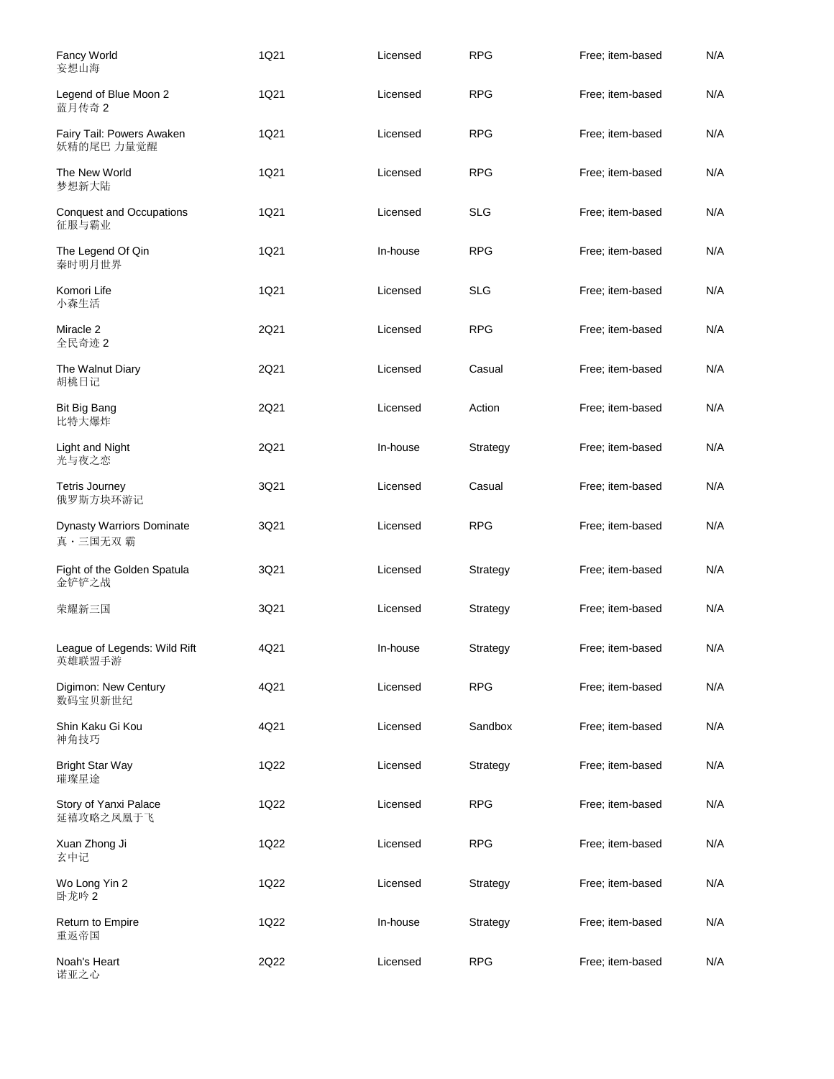| Fancy World<br>妄想山海                         | 1Q21 | Licensed | <b>RPG</b> | Free; item-based | N/A |
|---------------------------------------------|------|----------|------------|------------------|-----|
| Legend of Blue Moon 2<br>蓝月传奇 2             | 1Q21 | Licensed | <b>RPG</b> | Free; item-based | N/A |
| Fairy Tail: Powers Awaken<br>妖精的尾巴 力量觉醒     | 1Q21 | Licensed | <b>RPG</b> | Free; item-based | N/A |
| The New World<br>梦想新大陆                      | 1Q21 | Licensed | <b>RPG</b> | Free; item-based | N/A |
| <b>Conquest and Occupations</b><br>征服与霸业    | 1Q21 | Licensed | <b>SLG</b> | Free; item-based | N/A |
| The Legend Of Qin<br>秦时明月世界                 | 1Q21 | In-house | <b>RPG</b> | Free; item-based | N/A |
| Komori Life<br>小森生活                         | 1Q21 | Licensed | <b>SLG</b> | Free; item-based | N/A |
| Miracle 2<br>全民奇迹 2                         | 2Q21 | Licensed | <b>RPG</b> | Free: item-based | N/A |
| The Walnut Diary<br>胡桃日记                    | 2Q21 | Licensed | Casual     | Free; item-based | N/A |
| <b>Bit Big Bang</b><br>比特大爆炸                | 2Q21 | Licensed | Action     | Free; item-based | N/A |
| Light and Night<br>光与夜之恋                    | 2Q21 | In-house | Strategy   | Free; item-based | N/A |
| <b>Tetris Journey</b><br>俄罗斯方块环游记           | 3Q21 | Licensed | Casual     | Free; item-based | N/A |
| <b>Dynasty Warriors Dominate</b><br>真·三国无双霸 | 3Q21 | Licensed | <b>RPG</b> | Free; item-based | N/A |
| Fight of the Golden Spatula<br>金铲铲之战        | 3Q21 | Licensed | Strategy   | Free; item-based | N/A |
| 荣耀新三国                                       | 3Q21 | Licensed | Strategy   | Free; item-based | N/A |
| League of Legends: Wild Rift<br>英雄联盟手游      | 4Q21 | In-house | Strategy   | Free: item-based | N/A |
| Digimon: New Century<br>数码宝贝新世纪             | 4Q21 | Licensed | <b>RPG</b> | Free; item-based | N/A |
| Shin Kaku Gi Kou<br>神角技巧                    | 4Q21 | Licensed | Sandbox    | Free; item-based | N/A |
| <b>Bright Star Way</b><br>璀璨星途              | 1Q22 | Licensed | Strategy   | Free; item-based | N/A |
| Story of Yanxi Palace<br>延禧攻略之凤凰于飞          | 1Q22 | Licensed | <b>RPG</b> | Free: item-based | N/A |
| Xuan Zhong Ji<br>玄中记                        | 1Q22 | Licensed | <b>RPG</b> | Free; item-based | N/A |
| Wo Long Yin 2<br>卧龙吟 2                      | 1Q22 | Licensed | Strategy   | Free; item-based | N/A |
| Return to Empire<br>重返帝国                    | 1Q22 | In-house | Strategy   | Free; item-based | N/A |
| Noah's Heart<br>诺亚之心                        | 2Q22 | Licensed | <b>RPG</b> | Free; item-based | N/A |